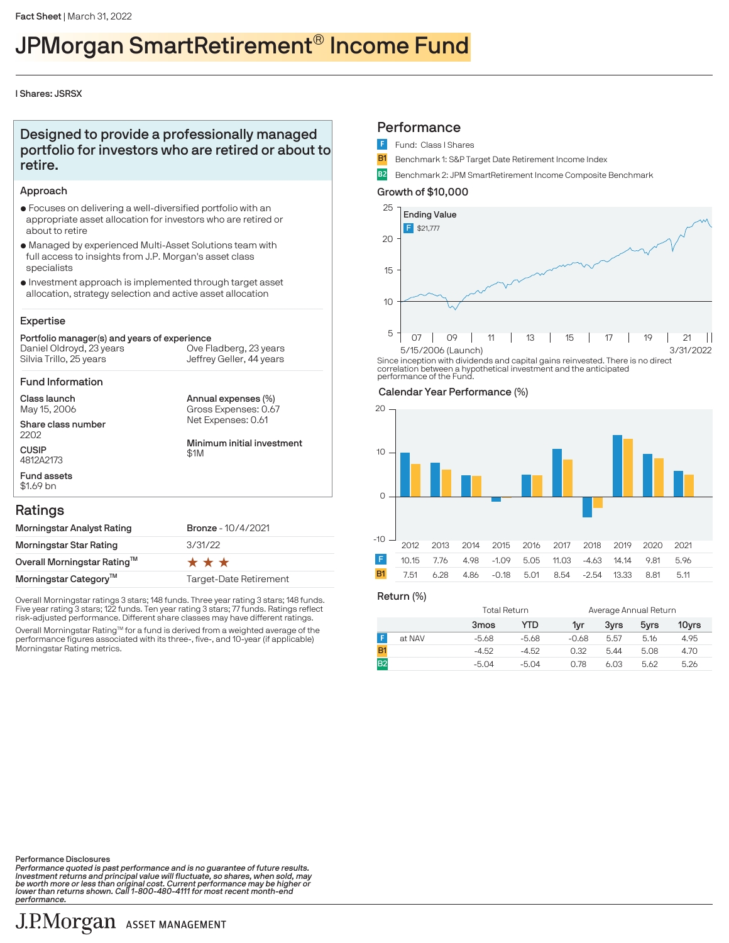# JPMorgan SmartRetirement® Income Fund

#### I Shares: JSRSX

## Designed to provide a professionally managed portfolio for investors who are retired or about to retire.

#### Approach

- $\bullet$  Focuses on delivering a well-diversified portfolio with an appropriate asset allocation for investors who are retired or about to retire
- $\bullet$  Managed by experienced Multi-Asset Solutions team with full access to insights from J.P. Morgan's asset class specialists
- $\bullet$  Investment approach is implemented through target asset allocation, strategy selection and active asset allocation

#### Expertise

#### Portfolio manager(s) and years of experience Silvia Trillo, 25 years Daniel Oldroyd, 23 years Jeffrey Geller, 44 years Ove Fladberg, 23 years

Fund Information

Class launch May 15, 2006

Share class number 2202 **CUSIP** 4812A2173

Annual expenses (%) Net Expenses: 0.61 Gross Expenses: 0.67

Minimum initial investment \$1M

### Ratings

Fund assets \$1.69 bn

| Morningstar Analyst Rating        | <b>Bronze - 10/4/2021</b> |
|-----------------------------------|---------------------------|
| Morningstar Star Rating           | 3/31/22                   |
| Overall Morningstar Rating™       | ***                       |
| Morningstar Category <sup>™</sup> | Target-Date Retirement    |

Overall Morningstar ratings 3 stars; 148 funds. Three year rating 3 stars; 148 funds. Five year rating 3 stars; 122 funds. Ten year rating 3 stars; 77 funds. Ratings reflect risk-adjusted performance. Different share classes may have different ratings.

Overall Morningstar Rating™ for a fund is derived from a weighted average of the<br>performance figures associated with its three-, five-, and 10-year (if applicable) Morningstar Rating metrics.

### **Performance**

- Fund: Class I Shares
- **B1** Benchmark 1: S&P Target Date Retirement Income Index
- B2 Benchmark 2: JPM SmartRetirement Income Composite Benchmark

#### Growth of \$10,000



Since inception with dividends and capital gains reinvested. There is no direct correlation between a hypothetical investment and the anticipated performance of the Fund.

#### Calendar Year Performance (%)



Return (%)

|                | Total Return     |         | Average Annual Return |      |      |       |
|----------------|------------------|---------|-----------------------|------|------|-------|
|                | 3 <sub>mos</sub> | YTD     | 1yr                   | 3vrs | 5yrs | 10yrs |
| at NAV         | $-5.68$          | $-5.68$ | $-0.68$               | 5.57 | 5.16 | 4.95  |
|                | $-4.52$          | $-4.52$ | 0.32                  | 5.44 | 5.08 | 4.70  |
| B <sub>2</sub> | $-5.04$          | $-5.04$ | 0.78                  | 6.03 | 5.62 | 5.26  |

Performance Disclosures

Performance quoted is past performance and is no guarantee of future results.<br>Investment returns and principal value will fluctuate, so shares, when sold, may<br>be worth more or less than original cost. Current performance m performance.

## J.P.Morgan ASSET MANAGEMENT